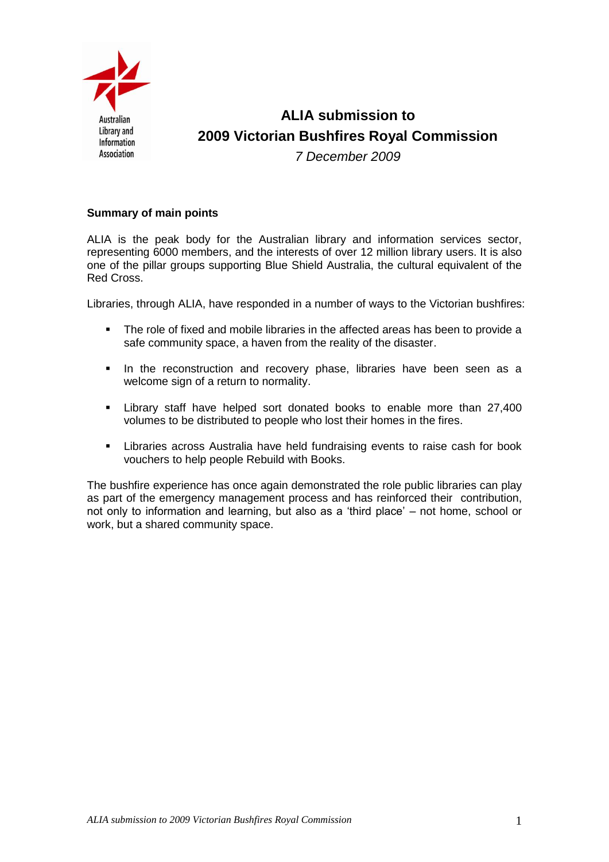

**ALIA submission to 2009 Victorian Bushfires Royal Commission** *7 December 2009*

## **Summary of main points**

ALIA is the peak body for the Australian library and information services sector, representing 6000 members, and the interests of over 12 million library users. It is also one of the pillar groups supporting Blue Shield Australia, the cultural equivalent of the Red Cross.

Libraries, through ALIA, have responded in a number of ways to the Victorian bushfires:

- The role of fixed and mobile libraries in the affected areas has been to provide a safe community space, a haven from the reality of the disaster.
- **In the reconstruction and recovery phase, libraries have been seen as a** welcome sign of a return to normality.
- **Example 1** Library staff have helped sort donated books to enable more than 27,400 volumes to be distributed to people who lost their homes in the fires.
- Libraries across Australia have held fundraising events to raise cash for book vouchers to help people Rebuild with Books.

The bushfire experience has once again demonstrated the role public libraries can play as part of the emergency management process and has reinforced their contribution, not only to information and learning, but also as a 'third place' – not home, school or work, but a shared community space.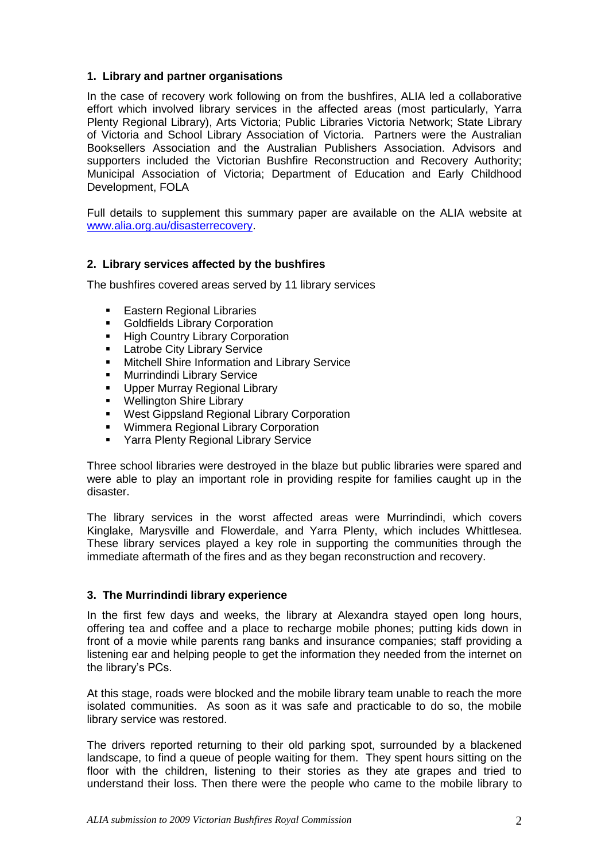# **1. Library and partner organisations**

In the case of recovery work following on from the bushfires, ALIA led a collaborative effort which involved library services in the affected areas (most particularly, Yarra Plenty Regional Library), Arts Victoria; Public Libraries Victoria Network; State Library of Victoria and School Library Association of Victoria. Partners were the Australian Booksellers Association and the Australian Publishers Association. Advisors and supporters included the Victorian Bushfire Reconstruction and Recovery Authority; Municipal Association of Victoria; Department of Education and Early Childhood Development, FOLA

Full details to supplement this summary paper are available on the ALIA website at [www.alia.org.au/disasterrecovery.](http://www.alia.org.au/disasterrecovery)

# **2. Library services affected by the bushfires**

The bushfires covered areas served by 11 library services

- **Eastern Regional Libraries**
- **Goldfields Library Corporation**
- **High Country Library Corporation**
- **Latrobe City Library Service**
- **KERGING Mitchell Shire Information and Library Service**
- **-** Murrindindi Library Service
- **Upper Murray Regional Library**
- **Wellington Shire Library**
- **West Gippsland Regional Library Corporation**
- **Wimmera Regional Library Corporation**
- **F** Yarra Plenty Regional Library Service

Three school libraries were destroyed in the blaze but public libraries were spared and were able to play an important role in providing respite for families caught up in the disaster.

The library services in the worst affected areas were Murrindindi, which covers Kinglake, Marysville and Flowerdale, and Yarra Plenty, which includes Whittlesea. These library services played a key role in supporting the communities through the immediate aftermath of the fires and as they began reconstruction and recovery.

# **3. The Murrindindi library experience**

In the first few days and weeks, the library at Alexandra stayed open long hours, offering tea and coffee and a place to recharge mobile phones; putting kids down in front of a movie while parents rang banks and insurance companies; staff providing a listening ear and helping people to get the information they needed from the internet on the library's PCs.

At this stage, roads were blocked and the mobile library team unable to reach the more isolated communities. As soon as it was safe and practicable to do so, the mobile library service was restored.

The drivers reported returning to their old parking spot, surrounded by a blackened landscape, to find a queue of people waiting for them. They spent hours sitting on the floor with the children, listening to their stories as they ate grapes and tried to understand their loss. Then there were the people who came to the mobile library to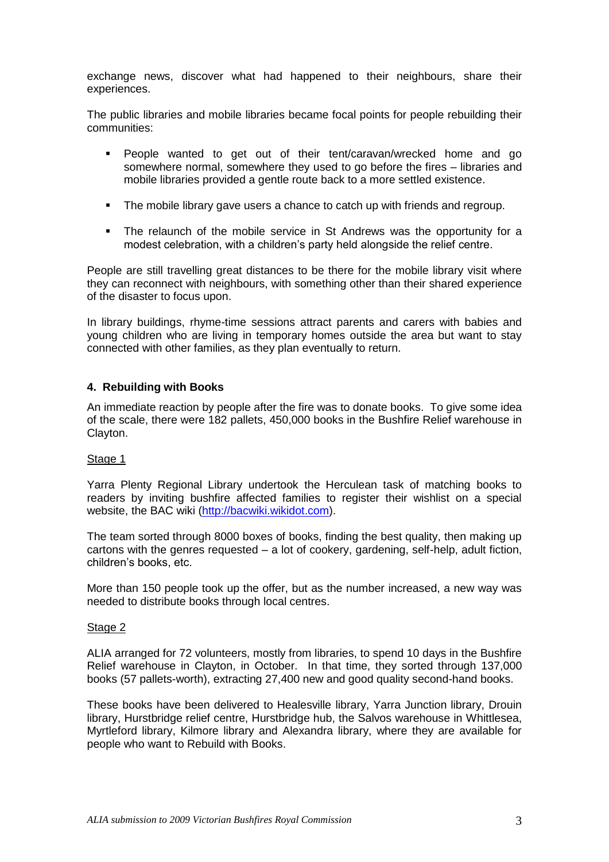exchange news, discover what had happened to their neighbours, share their experiences.

The public libraries and mobile libraries became focal points for people rebuilding their communities:

- People wanted to get out of their tent/caravan/wrecked home and go somewhere normal, somewhere they used to go before the fires – libraries and mobile libraries provided a gentle route back to a more settled existence.
- The mobile library gave users a chance to catch up with friends and regroup.
- The relaunch of the mobile service in St Andrews was the opportunity for a modest celebration, with a children's party held alongside the relief centre.

People are still travelling great distances to be there for the mobile library visit where they can reconnect with neighbours, with something other than their shared experience of the disaster to focus upon.

In library buildings, rhyme-time sessions attract parents and carers with babies and young children who are living in temporary homes outside the area but want to stay connected with other families, as they plan eventually to return.

## **4. Rebuilding with Books**

An immediate reaction by people after the fire was to donate books. To give some idea of the scale, there were 182 pallets, 450,000 books in the Bushfire Relief warehouse in Clayton.

#### Stage 1

Yarra Plenty Regional Library undertook the Herculean task of matching books to readers by inviting bushfire affected families to register their wishlist on a special website, the BAC wiki [\(http://bacwiki.wikidot.com\)](http://backwiki.wikidot.com/).

The team sorted through 8000 boxes of books, finding the best quality, then making up cartons with the genres requested – a lot of cookery, gardening, self-help, adult fiction, children's books, etc.

More than 150 people took up the offer, but as the number increased, a new way was needed to distribute books through local centres.

#### Stage 2

ALIA arranged for 72 volunteers, mostly from libraries, to spend 10 days in the Bushfire Relief warehouse in Clayton, in October. In that time, they sorted through 137,000 books (57 pallets-worth), extracting 27,400 new and good quality second-hand books.

These books have been delivered to Healesville library, Yarra Junction library, Drouin library, Hurstbridge relief centre, Hurstbridge hub, the Salvos warehouse in Whittlesea, Myrtleford library, Kilmore library and Alexandra library, where they are available for people who want to Rebuild with Books.